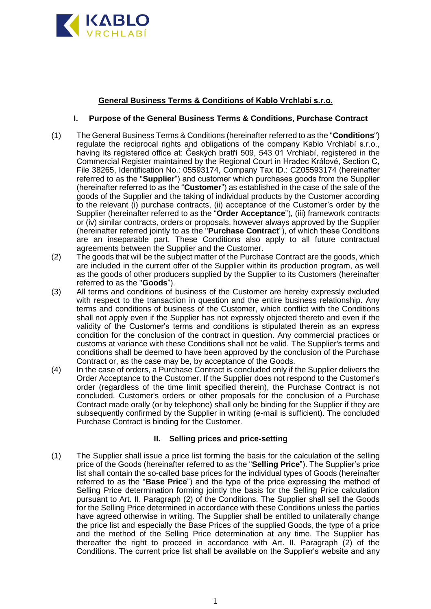

### **General Business Terms & Conditions of Kablo Vrchlabí s.r.o.**

### **I. Purpose of the General Business Terms & Conditions, Purchase Contract**

- (1) The General Business Terms & Conditions (hereinafter referred to as the "**Conditions**") regulate the reciprocal rights and obligations of the company Kablo Vrchlabí s.r.o., having its registered office at: Českých bratří 509, 543 01 Vrchlabí, registered in the Commercial Register maintained by the Regional Court in Hradec Králové, Section C, File 38265, Identification No.: 05593174, Company Tax ID.: CZ05593174 (hereinafter referred to as the "**Supplier**") and customer which purchases goods from the Supplier (hereinafter referred to as the "**Customer**") as established in the case of the sale of the goods of the Supplier and the taking of individual products by the Customer according to the relevant (i) purchase contracts, (ii) acceptance of the Customer's order by the Supplier (hereinafter referred to as the "**Order Acceptance**"), (iii) framework contracts or (iv) similar contracts, orders or proposals, however always approved by the Supplier (hereinafter referred jointly to as the "**Purchase Contract**"), of which these Conditions are an inseparable part. These Conditions also apply to all future contractual agreements between the Supplier and the Customer.
- (2) The goods that will be the subject matter of the Purchase Contract are the goods, which are included in the current offer of the Supplier within its production program, as well as the goods of other producers supplied by the Supplier to its Customers (hereinafter referred to as the "**Goods**").
- (3) All terms and conditions of business of the Customer are hereby expressly excluded with respect to the transaction in question and the entire business relationship. Any terms and conditions of business of the Customer, which conflict with the Conditions shall not apply even if the Supplier has not expressly objected thereto and even if the validity of the Customer's terms and conditions is stipulated therein as an express condition for the conclusion of the contract in question. Any commercial practices or customs at variance with these Conditions shall not be valid. The Supplier's terms and conditions shall be deemed to have been approved by the conclusion of the Purchase Contract or, as the case may be, by acceptance of the Goods.
- (4) In the case of orders, a Purchase Contract is concluded only if the Supplier delivers the Order Acceptance to the Customer. If the Supplier does not respond to the Customer's order (regardless of the time limit specified therein), the Purchase Contract is not concluded. Customer's orders or other proposals for the conclusion of a Purchase Contract made orally (or by telephone) shall only be binding for the Supplier if they are subsequently confirmed by the Supplier in writing (e-mail is sufficient). The concluded Purchase Contract is binding for the Customer.

# **II. Selling prices and price-setting**

(1) The Supplier shall issue a price list forming the basis for the calculation of the selling price of the Goods (hereinafter referred to as the "**Selling Price**"). The Supplier's price list shall contain the so-called base prices for the individual types of Goods (hereinafter referred to as the "**Base Price**") and the type of the price expressing the method of Selling Price determination forming jointly the basis for the Selling Price calculation pursuant to Art. II. Paragraph (2) of the Conditions. The Supplier shall sell the Goods for the Selling Price determined in accordance with these Conditions unless the parties have agreed otherwise in writing. The Supplier shall be entitled to unilaterally change the price list and especially the Base Prices of the supplied Goods, the type of a price and the method of the Selling Price determination at any time. The Supplier has thereafter the right to proceed in accordance with Art. II. Paragraph (2) of the Conditions. The current price list shall be available on the Supplier's website and any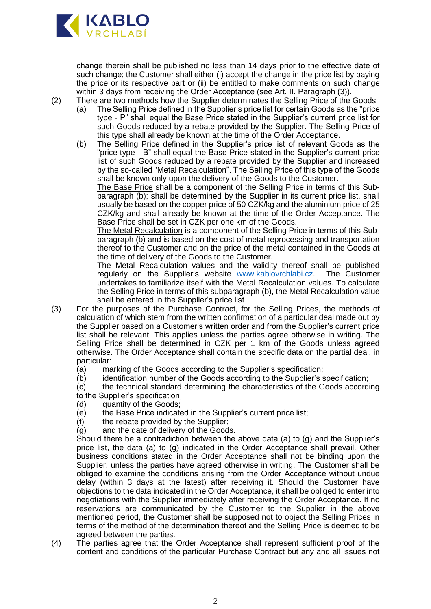

change therein shall be published no less than 14 days prior to the effective date of such change; the Customer shall either (i) accept the change in the price list by paying the price or its respective part or (ii) be entitled to make comments on such change within 3 days from receiving the Order Acceptance (see Art. II. Paragraph (3)).

(2) There are two methods how the Supplier determinates the Selling Price of the Goods:

- (a) The Selling Price defined in the Supplier's price list for certain Goods as the "price type - P" shall equal the Base Price stated in the Supplier's current price list for such Goods reduced by a rebate provided by the Supplier. The Selling Price of this type shall already be known at the time of the Order Acceptance.
- (b) The Selling Price defined in the Supplier's price list of relevant Goods as the "price type - B" shall equal the Base Price stated in the Supplier's current price list of such Goods reduced by a rebate provided by the Supplier and increased by the so-called "Metal Recalculation". The Selling Price of this type of the Goods shall be known only upon the delivery of the Goods to the Customer.

The Base Price shall be a component of the Selling Price in terms of this Subparagraph (b); shall be determined by the Supplier in its current price list, shall usually be based on the copper price of 50 CZK/kg and the aluminium price of 25 CZK/kg and shall already be known at the time of the Order Acceptance. The Base Price shall be set in CZK per one km of the Goods.

The Metal Recalculation is a component of the Selling Price in terms of this Subparagraph (b) and is based on the cost of metal reprocessing and transportation thereof to the Customer and on the price of the metal contained in the Goods at the time of delivery of the Goods to the Customer.

The Metal Recalculation values and the validity thereof shall be published regularly on the Supplier's website [www.kablovrchlabi.cz.](http://www.kablovrchlabi.cz/) The Customer undertakes to familiarize itself with the Metal Recalculation values. To calculate the Selling Price in terms of this subparagraph (b), the Metal Recalculation value shall be entered in the Supplier's price list.

- (3) For the purposes of the Purchase Contract, for the Selling Prices, the methods of calculation of which stem from the written confirmation of a particular deal made out by the Supplier based on a Customer's written order and from the Supplier's current price list shall be relevant. This applies unless the parties agree otherwise in writing. The Selling Price shall be determined in CZK per 1 km of the Goods unless agreed otherwise. The Order Acceptance shall contain the specific data on the partial deal, in particular:
	- (a) marking of the Goods according to the Supplier's specification;
	- (b) identification number of the Goods according to the Supplier's specification;
	- (c) the technical standard determining the characteristics of the Goods according to the Supplier's specification;
	- (d) quantity of the Goods;
	- (e) the Base Price indicated in the Supplier's current price list;
	- (f) the rebate provided by the Supplier;
	- (g) and the date of delivery of the Goods.

Should there be a contradiction between the above data (a) to (g) and the Supplier's price list, the data (a) to (g) indicated in the Order Acceptance shall prevail. Other business conditions stated in the Order Acceptance shall not be binding upon the Supplier, unless the parties have agreed otherwise in writing. The Customer shall be obliged to examine the conditions arising from the Order Acceptance without undue delay (within 3 days at the latest) after receiving it. Should the Customer have objections to the data indicated in the Order Acceptance, it shall be obliged to enter into negotiations with the Supplier immediately after receiving the Order Acceptance. If no reservations are communicated by the Customer to the Supplier in the above mentioned period, the Customer shall be supposed not to object the Selling Prices in terms of the method of the determination thereof and the Selling Price is deemed to be agreed between the parties.

(4) The parties agree that the Order Acceptance shall represent sufficient proof of the content and conditions of the particular Purchase Contract but any and all issues not

2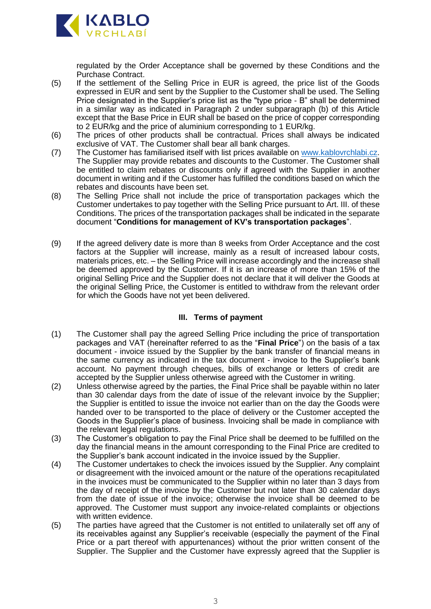

regulated by the Order Acceptance shall be governed by these Conditions and the Purchase Contract.

- (5) If the settlement of the Selling Price in EUR is agreed, the price list of the Goods expressed in EUR and sent by the Supplier to the Customer shall be used. The Selling Price designated in the Supplier's price list as the "type price - B" shall be determined in a similar way as indicated in Paragraph 2 under subparagraph (b) of this Article except that the Base Price in EUR shall be based on the price of copper corresponding to 2 EUR/kg and the price of aluminium corresponding to 1 EUR/kg.
- (6) The prices of other products shall be contractual. Prices shall always be indicated exclusive of VAT. The Customer shall bear all bank charges.
- (7) The Customer has familiarised itself with list prices available on [www.kablovrchlabi.cz.](http://www.kablovrchlabi.cz/) The Supplier may provide rebates and discounts to the Customer. The Customer shall be entitled to claim rebates or discounts only if agreed with the Supplier in another document in writing and if the Customer has fulfilled the conditions based on which the rebates and discounts have been set.
- (8) The Selling Price shall not include the price of transportation packages which the Customer undertakes to pay together with the Selling Price pursuant to Art. III. of these Conditions. The prices of the transportation packages shall be indicated in the separate document "**Conditions for management of KV's transportation packages**".
- (9) If the agreed delivery date is more than 8 weeks from Order Acceptance and the cost factors at the Supplier will increase, mainly as a result of increased labour costs, materials prices, etc. – the Selling Price will increase accordingly and the increase shall be deemed approved by the Customer. If it is an increase of more than 15% of the original Selling Price and the Supplier does not declare that it will deliver the Goods at the original Selling Price, the Customer is entitled to withdraw from the relevant order for which the Goods have not yet been delivered.

# **III. Terms of payment**

- (1) The Customer shall pay the agreed Selling Price including the price of transportation packages and VAT (hereinafter referred to as the "**Final Price**") on the basis of a tax document - invoice issued by the Supplier by the bank transfer of financial means in the same currency as indicated in the tax document - invoice to the Supplier's bank account. No payment through cheques, bills of exchange or letters of credit are accepted by the Supplier unless otherwise agreed with the Customer in writing.
- (2) Unless otherwise agreed by the parties, the Final Price shall be payable within no later than 30 calendar days from the date of issue of the relevant invoice by the Supplier; the Supplier is entitled to issue the invoice not earlier than on the day the Goods were handed over to be transported to the place of delivery or the Customer accepted the Goods in the Supplier's place of business. Invoicing shall be made in compliance with the relevant legal regulations.
- (3) The Customer's obligation to pay the Final Price shall be deemed to be fulfilled on the day the financial means in the amount corresponding to the Final Price are credited to the Supplier's bank account indicated in the invoice issued by the Supplier.
- (4) The Customer undertakes to check the invoices issued by the Supplier. Any complaint or disagreement with the invoiced amount or the nature of the operations recapitulated in the invoices must be communicated to the Supplier within no later than 3 days from the day of receipt of the invoice by the Customer but not later than 30 calendar days from the date of issue of the invoice; otherwise the invoice shall be deemed to be approved. The Customer must support any invoice-related complaints or objections with written evidence.
- (5) The parties have agreed that the Customer is not entitled to unilaterally set off any of its receivables against any Supplier's receivable (especially the payment of the Final Price or a part thereof with appurtenances) without the prior written consent of the Supplier. The Supplier and the Customer have expressly agreed that the Supplier is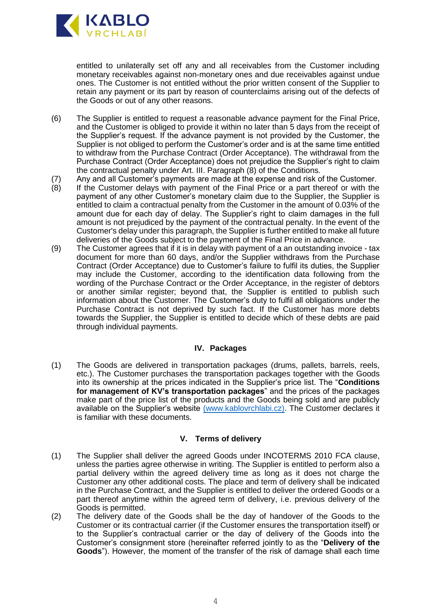

entitled to unilaterally set off any and all receivables from the Customer including monetary receivables against non-monetary ones and due receivables against undue ones. The Customer is not entitled without the prior written consent of the Supplier to retain any payment or its part by reason of counterclaims arising out of the defects of the Goods or out of any other reasons.

- (6) The Supplier is entitled to request a reasonable advance payment for the Final Price, and the Customer is obliged to provide it within no later than 5 days from the receipt of the Supplier's request. If the advance payment is not provided by the Customer, the Supplier is not obliged to perform the Customer's order and is at the same time entitled to withdraw from the Purchase Contract (Order Acceptance). The withdrawal from the Purchase Contract (Order Acceptance) does not prejudice the Supplier's right to claim the contractual penalty under Art. III. Paragraph (8) of the Conditions.
- (7) Any and all Customer's payments are made at the expense and risk of the Customer.<br>(8) If the Customer delays with payment of the Final Price or a part thereof or with the
- If the Customer delays with payment of the Final Price or a part thereof or with the payment of any other Customer's monetary claim due to the Supplier, the Supplier is entitled to claim a contractual penalty from the Customer in the amount of 0.03% of the amount due for each day of delay. The Supplier's right to claim damages in the full amount is not prejudiced by the payment of the contractual penalty. In the event of the Customer's delay under this paragraph, the Supplier is further entitled to make all future deliveries of the Goods subject to the payment of the Final Price in advance.
- (9) The Customer agrees that if it is in delay with payment of a an outstanding invoice tax document for more than 60 days, and/or the Supplier withdraws from the Purchase Contract (Order Acceptance) due to Customer's failure to fulfil its duties, the Supplier may include the Customer, according to the identification data following from the wording of the Purchase Contract or the Order Acceptance, in the register of debtors or another similar register; beyond that, the Supplier is entitled to publish such information about the Customer. The Customer's duty to fulfil all obligations under the Purchase Contract is not deprived by such fact. If the Customer has more debts towards the Supplier, the Supplier is entitled to decide which of these debts are paid through individual payments.

### **IV. Packages**

(1) The Goods are delivered in transportation packages (drums, pallets, barrels, reels, etc.). The Customer purchases the transportation packages together with the Goods into its ownership at the prices indicated in the Supplier's price list. The "**Conditions for management of KV's transportation packages**" and the prices of the packages make part of the price list of the products and the Goods being sold and are publicly available on the Supplier's website [\(www.kablovrchlabi.cz\).](http://(www.kablovrchlabi.cz)/) The Customer declares it is familiar with these documents.

#### **V. Terms of delivery**

- (1) The Supplier shall deliver the agreed Goods under INCOTERMS 2010 FCA clause, unless the parties agree otherwise in writing. The Supplier is entitled to perform also a partial delivery within the agreed delivery time as long as it does not charge the Customer any other additional costs. The place and term of delivery shall be indicated in the Purchase Contract, and the Supplier is entitled to deliver the ordered Goods or a part thereof anytime within the agreed term of delivery, i.e. previous delivery of the Goods is permitted.
- (2) The delivery date of the Goods shall be the day of handover of the Goods to the Customer or its contractual carrier (if the Customer ensures the transportation itself) or to the Supplier's contractual carrier or the day of delivery of the Goods into the Customer's consignment store (hereinafter referred jointly to as the "**Delivery of the Goods**"). However, the moment of the transfer of the risk of damage shall each time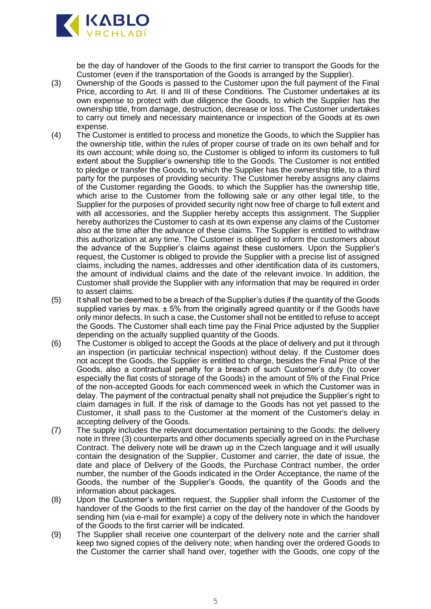

be the day of handover of the Goods to the first carrier to transport the Goods for the Customer (even if the transportation of the Goods is arranged by the Supplier).

- (3) Ownership of the Goods is passed to the Customer upon the full payment of the Final Price, according to Art. II and III of these Conditions. The Customer undertakes at its own expense to protect with due diligence the Goods, to which the Supplier has the ownership title, from damage, destruction, decrease or loss. The Customer undertakes to carry out timely and necessary maintenance or inspection of the Goods at its own expense.
- (4) The Customer is entitled to process and monetize the Goods, to which the Supplier has the ownership title, within the rules of proper course of trade on its own behalf and for its own account; while doing so, the Customer is obliged to inform its customers to full extent about the Supplier's ownership title to the Goods. The Customer is not entitled to pledge or transfer the Goods, to which the Supplier has the ownership title, to a third party for the purposes of providing security. The Customer hereby assigns any claims of the Customer regarding the Goods, to which the Supplier has the ownership title, which arise to the Customer from the following sale or any other legal title, to the Supplier for the purposes of provided security right now free of charge to full extent and with all accessories, and the Supplier hereby accepts this assignment. The Supplier hereby authorizes the Customer to cash at its own expense any claims of the Customer also at the time after the advance of these claims. The Supplier is entitled to withdraw this authorization at any time. The Customer is obliged to inform the customers about the advance of the Supplier's claims against these customers. Upon the Supplier's request, the Customer is obliged to provide the Supplier with a precise list of assigned claims, including the names, addresses and other identification data of its customers, the amount of individual claims and the date of the relevant invoice. In addition, the Customer shall provide the Supplier with any information that may be required in order to assert claims.
- (5) It shall not be deemed to be a breach of the Supplier's duties if the quantity of the Goods supplied varies by max.  $\pm$  5% from the originally agreed quantity or if the Goods have only minor defects. In such a case, the Customer shall not be entitled to refuse to accept the Goods. The Customer shall each time pay the Final Price adjusted by the Supplier depending on the actually supplied quantity of the Goods.
- (6) The Customer is obliged to accept the Goods at the place of delivery and put it through an inspection (in particular technical inspection) without delay. If the Customer does not accept the Goods, the Supplier is entitled to charge, besides the Final Price of the Goods, also a contractual penalty for a breach of such Customer's duty (to cover especially the flat costs of storage of the Goods) in the amount of 5% of the Final Price of the non-accepted Goods for each commenced week in which the Customer was in delay. The payment of the contractual penalty shall not prejudice the Supplier's right to claim damages in full. If the risk of damage to the Goods has not yet passed to the Customer, it shall pass to the Customer at the moment of the Customer's delay in accepting delivery of the Goods.
- (7) The supply includes the relevant documentation pertaining to the Goods: the delivery note in three (3) counterparts and other documents specially agreed on in the Purchase Contract. The delivery note will be drawn up in the Czech language and it will usually contain the designation of the Supplier, Customer and carrier, the date of issue, the date and place of Delivery of the Goods, the Purchase Contract number, the order number, the number of the Goods indicated in the Order Acceptance, the name of the Goods, the number of the Supplier's Goods, the quantity of the Goods and the information about packages.
- (8) Upon the Customer's written request, the Supplier shall inform the Customer of the handover of the Goods to the first carrier on the day of the handover of the Goods by sending him (via e-mail for example) a copy of the delivery note in which the handover of the Goods to the first carrier will be indicated.
- (9) The Supplier shall receive one counterpart of the delivery note and the carrier shall keep two signed copies of the delivery note; when handing over the ordered Goods to the Customer the carrier shall hand over, together with the Goods, one copy of the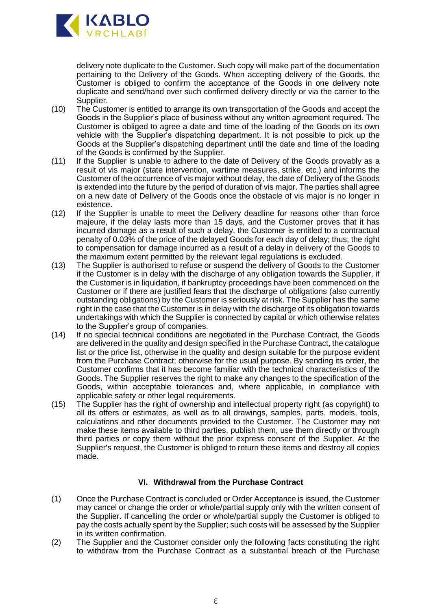

delivery note duplicate to the Customer. Such copy will make part of the documentation pertaining to the Delivery of the Goods. When accepting delivery of the Goods, the Customer is obliged to confirm the acceptance of the Goods in one delivery note duplicate and send/hand over such confirmed delivery directly or via the carrier to the Supplier.

- (10) The Customer is entitled to arrange its own transportation of the Goods and accept the Goods in the Supplier's place of business without any written agreement required. The Customer is obliged to agree a date and time of the loading of the Goods on its own vehicle with the Supplier's dispatching department. It is not possible to pick up the Goods at the Supplier's dispatching department until the date and time of the loading of the Goods is confirmed by the Supplier.
- (11) If the Supplier is unable to adhere to the date of Delivery of the Goods provably as a result of vis major (state intervention, wartime measures, strike, etc.) and informs the Customer of the occurrence of vis major without delay, the date of Delivery of the Goods is extended into the future by the period of duration of vis major. The parties shall agree on a new date of Delivery of the Goods once the obstacle of vis major is no longer in existence.
- (12) If the Supplier is unable to meet the Delivery deadline for reasons other than force majeure, if the delay lasts more than 15 days, and the Customer proves that it has incurred damage as a result of such a delay, the Customer is entitled to a contractual penalty of 0.03% of the price of the delayed Goods for each day of delay; thus, the right to compensation for damage incurred as a result of a delay in delivery of the Goods to the maximum extent permitted by the relevant legal regulations is excluded.
- (13) The Supplier is authorised to refuse or suspend the delivery of Goods to the Customer if the Customer is in delay with the discharge of any obligation towards the Supplier, if the Customer is in liquidation, if bankruptcy proceedings have been commenced on the Customer or if there are justified fears that the discharge of obligations (also currently outstanding obligations) by the Customer is seriously at risk. The Supplier has the same right in the case that the Customer is in delay with the discharge of its obligation towards undertakings with which the Supplier is connected by capital or which otherwise relates to the Supplier's group of companies.
- (14) If no special technical conditions are negotiated in the Purchase Contract, the Goods are delivered in the quality and design specified in the Purchase Contract, the catalogue list or the price list, otherwise in the quality and design suitable for the purpose evident from the Purchase Contract; otherwise for the usual purpose. By sending its order, the Customer confirms that it has become familiar with the technical characteristics of the Goods. The Supplier reserves the right to make any changes to the specification of the Goods, within acceptable tolerances and, where applicable, in compliance with applicable safety or other legal requirements.
- (15) The Supplier has the right of ownership and intellectual property right (as copyright) to all its offers or estimates, as well as to all drawings, samples, parts, models, tools, calculations and other documents provided to the Customer. The Customer may not make these items available to third parties, publish them, use them directly or through third parties or copy them without the prior express consent of the Supplier. At the Supplier's request, the Customer is obliged to return these items and destroy all copies made.

# **VI. Withdrawal from the Purchase Contract**

- (1) Once the Purchase Contract is concluded or Order Acceptance is issued, the Customer may cancel or change the order or whole/partial supply only with the written consent of the Supplier. If cancelling the order or whole/partial supply the Customer is obliged to pay the costs actually spent by the Supplier; such costs will be assessed by the Supplier in its written confirmation.
- (2) The Supplier and the Customer consider only the following facts constituting the right to withdraw from the Purchase Contract as a substantial breach of the Purchase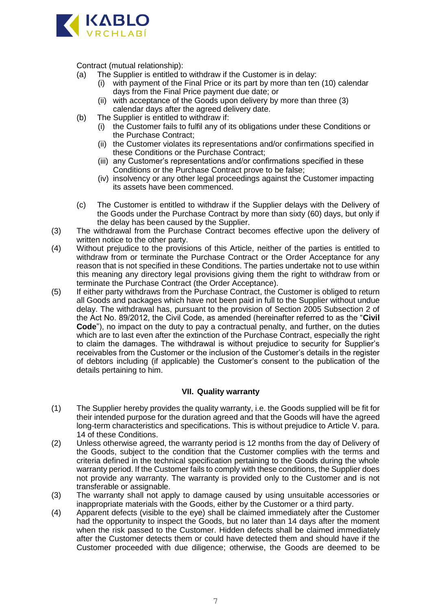

Contract (mutual relationship):<br>(a) The Supplier is entitled to

- The Supplier is entitled to withdraw if the Customer is in delay:
	- (i) with payment of the Final Price or its part by more than ten (10) calendar days from the Final Price payment due date; or
	- (ii) with acceptance of the Goods upon delivery by more than three (3) calendar days after the agreed delivery date.
- (b) The Supplier is entitled to withdraw if:
	- (i) the Customer fails to fulfil any of its obligations under these Conditions or the Purchase Contract;
	- (ii) the Customer violates its representations and/or confirmations specified in these Conditions or the Purchase Contract;
	- (iii) any Customer's representations and/or confirmations specified in these Conditions or the Purchase Contract prove to be false;
	- (iv) insolvency or any other legal proceedings against the Customer impacting its assets have been commenced.
- (c) The Customer is entitled to withdraw if the Supplier delays with the Delivery of the Goods under the Purchase Contract by more than sixty (60) days, but only if the delay has been caused by the Supplier.
- (3) The withdrawal from the Purchase Contract becomes effective upon the delivery of written notice to the other party.
- (4) Without prejudice to the provisions of this Article, neither of the parties is entitled to withdraw from or terminate the Purchase Contract or the Order Acceptance for any reason that is not specified in these Conditions. The parties undertake not to use within this meaning any directory legal provisions giving them the right to withdraw from or terminate the Purchase Contract (the Order Acceptance).
- (5) If either party withdraws from the Purchase Contract, the Customer is obliged to return all Goods and packages which have not been paid in full to the Supplier without undue delay. The withdrawal has, pursuant to the provision of Section 2005 Subsection 2 of the Act No. 89/2012, the Civil Code, as amended (hereinafter referred to as the "**Civil Code**"), no impact on the duty to pay a contractual penalty, and further, on the duties which are to last even after the extinction of the Purchase Contract, especially the right to claim the damages. The withdrawal is without prejudice to security for Supplier's receivables from the Customer or the inclusion of the Customer's details in the register of debtors including (if applicable) the Customer's consent to the publication of the details pertaining to him.

# **VII. Quality warranty**

- (1) The Supplier hereby provides the quality warranty, i.e. the Goods supplied will be fit for their intended purpose for the duration agreed and that the Goods will have the agreed long-term characteristics and specifications. This is without prejudice to Article V. para. 14 of these Conditions.
- (2) Unless otherwise agreed, the warranty period is 12 months from the day of Delivery of the Goods, subject to the condition that the Customer complies with the terms and criteria defined in the technical specification pertaining to the Goods during the whole warranty period. If the Customer fails to comply with these conditions, the Supplier does not provide any warranty. The warranty is provided only to the Customer and is not transferable or assignable.
- (3) The warranty shall not apply to damage caused by using unsuitable accessories or inappropriate materials with the Goods, either by the Customer or a third party.
- (4) Apparent defects (visible to the eye) shall be claimed immediately after the Customer had the opportunity to inspect the Goods, but no later than 14 days after the moment when the risk passed to the Customer. Hidden defects shall be claimed immediately after the Customer detects them or could have detected them and should have if the Customer proceeded with due diligence; otherwise, the Goods are deemed to be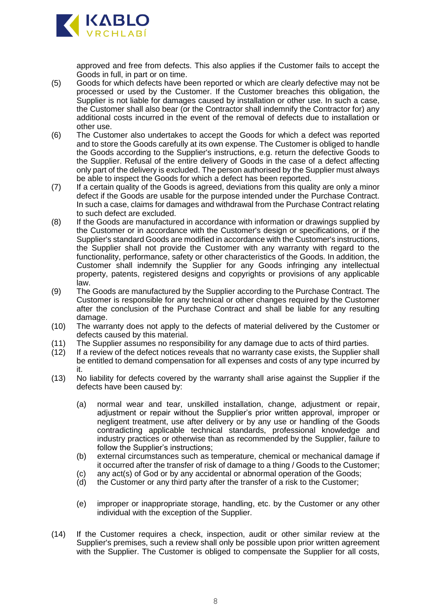

approved and free from defects. This also applies if the Customer fails to accept the Goods in full, in part or on time.

- (5) Goods for which defects have been reported or which are clearly defective may not be processed or used by the Customer. If the Customer breaches this obligation, the Supplier is not liable for damages caused by installation or other use. In such a case, the Customer shall also bear (or the Contractor shall indemnify the Contractor for) any additional costs incurred in the event of the removal of defects due to installation or other use.
- (6) The Customer also undertakes to accept the Goods for which a defect was reported and to store the Goods carefully at its own expense. The Customer is obliged to handle the Goods according to the Supplier's instructions, e.g. return the defective Goods to the Supplier. Refusal of the entire delivery of Goods in the case of a defect affecting only part of the delivery is excluded. The person authorised by the Supplier must always be able to inspect the Goods for which a defect has been reported.
- (7) If a certain quality of the Goods is agreed, deviations from this quality are only a minor defect if the Goods are usable for the purpose intended under the Purchase Contract. In such a case, claims for damages and withdrawal from the Purchase Contract relating to such defect are excluded.
- (8) If the Goods are manufactured in accordance with information or drawings supplied by the Customer or in accordance with the Customer's design or specifications, or if the Supplier's standard Goods are modified in accordance with the Customer's instructions, the Supplier shall not provide the Customer with any warranty with regard to the functionality, performance, safety or other characteristics of the Goods. In addition, the Customer shall indemnify the Supplier for any Goods infringing any intellectual property, patents, registered designs and copyrights or provisions of any applicable law.
- (9) The Goods are manufactured by the Supplier according to the Purchase Contract. The Customer is responsible for any technical or other changes required by the Customer after the conclusion of the Purchase Contract and shall be liable for any resulting damage.
- (10) The warranty does not apply to the defects of material delivered by the Customer or defects caused by this material.
- (11) The Supplier assumes no responsibility for any damage due to acts of third parties.<br>(12) If a review of the defect notices reveals that no warranty case exists, the Supplier sh
- If a review of the defect notices reveals that no warranty case exists, the Supplier shall be entitled to demand compensation for all expenses and costs of any type incurred by it.
- (13) No liability for defects covered by the warranty shall arise against the Supplier if the defects have been caused by:
	- (a) normal wear and tear, unskilled installation, change, adjustment or repair, adjustment or repair without the Supplier's prior written approval, improper or negligent treatment, use after delivery or by any use or handling of the Goods contradicting applicable technical standards, professional knowledge and industry practices or otherwise than as recommended by the Supplier, failure to follow the Supplier's instructions;
	- (b) external circumstances such as temperature, chemical or mechanical damage if it occurred after the transfer of risk of damage to a thing / Goods to the Customer;
	- (c) any act(s) of God or by any accidental or abnormal operation of the Goods;
	- (d) the Customer or any third party after the transfer of a risk to the Customer;
	- (e) improper or inappropriate storage, handling, etc. by the Customer or any other individual with the exception of the Supplier.
- (14) If the Customer requires a check, inspection, audit or other similar review at the Supplier's premises, such a review shall only be possible upon prior written agreement with the Supplier. The Customer is obliged to compensate the Supplier for all costs,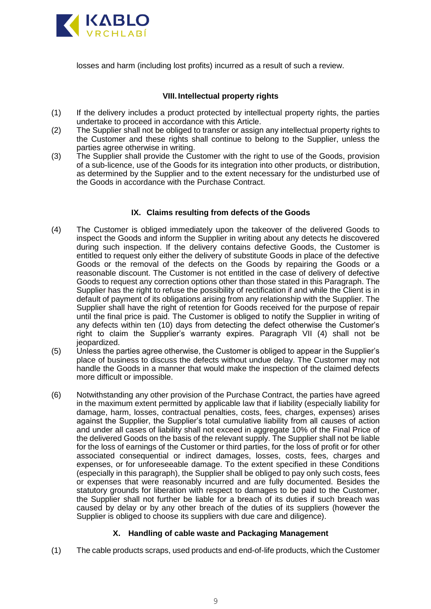

losses and harm (including lost profits) incurred as a result of such a review.

# **VIII. Intellectual property rights**

- (1) If the delivery includes a product protected by intellectual property rights, the parties undertake to proceed in accordance with this Article.
- (2) The Supplier shall not be obliged to transfer or assign any intellectual property rights to the Customer and these rights shall continue to belong to the Supplier, unless the parties agree otherwise in writing.
- (3) The Supplier shall provide the Customer with the right to use of the Goods, provision of a sub-licence, use of the Goods for its integration into other products, or distribution, as determined by the Supplier and to the extent necessary for the undisturbed use of the Goods in accordance with the Purchase Contract.

# **IX. Claims resulting from defects of the Goods**

- (4) The Customer is obliged immediately upon the takeover of the delivered Goods to inspect the Goods and inform the Supplier in writing about any detects he discovered during such inspection. If the delivery contains defective Goods, the Customer is entitled to request only either the delivery of substitute Goods in place of the defective Goods or the removal of the defects on the Goods by repairing the Goods or a reasonable discount. The Customer is not entitled in the case of delivery of defective Goods to request any correction options other than those stated in this Paragraph. The Supplier has the right to refuse the possibility of rectification if and while the Client is in default of payment of its obligations arising from any relationship with the Supplier. The Supplier shall have the right of retention for Goods received for the purpose of repair until the final price is paid. The Customer is obliged to notify the Supplier in writing of any defects within ten (10) days from detecting the defect otherwise the Customer's right to claim the Supplier's warranty expires. Paragraph VII (4) shall not be jeopardized.
- (5) Unless the parties agree otherwise, the Customer is obliged to appear in the Supplier's place of business to discuss the defects without undue delay. The Customer may not handle the Goods in a manner that would make the inspection of the claimed defects more difficult or impossible.
- (6) Notwithstanding any other provision of the Purchase Contract, the parties have agreed in the maximum extent permitted by applicable law that if liability (especially liability for damage, harm, losses, contractual penalties, costs, fees, charges, expenses) arises against the Supplier, the Supplier's total cumulative liability from all causes of action and under all cases of liability shall not exceed in aggregate 10% of the Final Price of the delivered Goods on the basis of the relevant supply. The Supplier shall not be liable for the loss of earnings of the Customer or third parties, for the loss of profit or for other associated consequential or indirect damages, losses, costs, fees, charges and expenses, or for unforeseeable damage. To the extent specified in these Conditions (especially in this paragraph), the Supplier shall be obliged to pay only such costs, fees or expenses that were reasonably incurred and are fully documented. Besides the statutory grounds for liberation with respect to damages to be paid to the Customer, the Supplier shall not further be liable for a breach of its duties if such breach was caused by delay or by any other breach of the duties of its suppliers (however the Supplier is obliged to choose its suppliers with due care and diligence).

# **X. Handling of cable waste and Packaging Management**

(1) The cable products scraps, used products and end-of-life products, which the Customer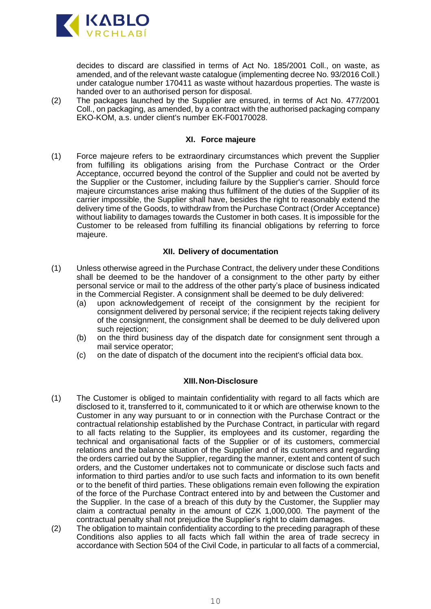

decides to discard are classified in terms of Act No. 185/2001 Coll., on waste, as amended, and of the relevant waste catalogue (implementing decree No. 93/2016 Coll.) under catalogue number 170411 as waste without hazardous properties. The waste is handed over to an authorised person for disposal.

(2) The packages launched by the Supplier are ensured, in terms of Act No. 477/2001 Coll., on packaging, as amended, by a contract with the authorised packaging company EKO-KOM, a.s. under client's number EK-F00170028.

#### **XI. Force majeure**

(1) Force majeure refers to be extraordinary circumstances which prevent the Supplier from fulfilling its obligations arising from the Purchase Contract or the Order Acceptance, occurred beyond the control of the Supplier and could not be averted by the Supplier or the Customer, including failure by the Supplier's carrier. Should force majeure circumstances arise making thus fulfilment of the duties of the Supplier of its carrier impossible, the Supplier shall have, besides the right to reasonably extend the delivery time of the Goods, to withdraw from the Purchase Contract (Order Acceptance) without liability to damages towards the Customer in both cases. It is impossible for the Customer to be released from fulfilling its financial obligations by referring to force majeure.

# **XII. Delivery of documentation**

- (1) Unless otherwise agreed in the Purchase Contract, the delivery under these Conditions shall be deemed to be the handover of a consignment to the other party by either personal service or mail to the address of the other party's place of business indicated in the Commercial Register. A consignment shall be deemed to be duly delivered:
	- (a) upon acknowledgement of receipt of the consignment by the recipient for consignment delivered by personal service; if the recipient rejects taking delivery of the consignment, the consignment shall be deemed to be duly delivered upon such rejection:
	- (b) on the third business day of the dispatch date for consignment sent through a mail service operator;
	- (c) on the date of dispatch of the document into the recipient's official data box.

# **XIII. Non-Disclosure**

- (1) The Customer is obliged to maintain confidentiality with regard to all facts which are disclosed to it, transferred to it, communicated to it or which are otherwise known to the Customer in any way pursuant to or in connection with the Purchase Contract or the contractual relationship established by the Purchase Contract, in particular with regard to all facts relating to the Supplier, its employees and its customer, regarding the technical and organisational facts of the Supplier or of its customers, commercial relations and the balance situation of the Supplier and of its customers and regarding the orders carried out by the Supplier, regarding the manner, extent and content of such orders, and the Customer undertakes not to communicate or disclose such facts and information to third parties and/or to use such facts and information to its own benefit or to the benefit of third parties. These obligations remain even following the expiration of the force of the Purchase Contract entered into by and between the Customer and the Supplier. In the case of a breach of this duty by the Customer, the Supplier may claim a contractual penalty in the amount of CZK 1,000,000. The payment of the contractual penalty shall not prejudice the Supplier's right to claim damages.
- (2) The obligation to maintain confidentiality according to the preceding paragraph of these Conditions also applies to all facts which fall within the area of trade secrecy in accordance with Section 504 of the Civil Code, in particular to all facts of a commercial,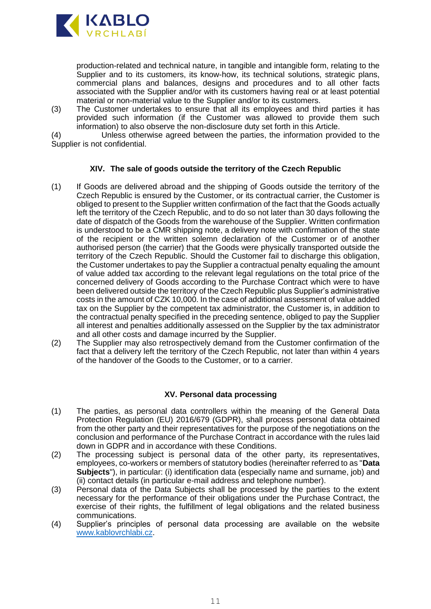

production-related and technical nature, in tangible and intangible form, relating to the Supplier and to its customers, its know-how, its technical solutions, strategic plans, commercial plans and balances, designs and procedures and to all other facts associated with the Supplier and/or with its customers having real or at least potential material or non-material value to the Supplier and/or to its customers.

(3) The Customer undertakes to ensure that all its employees and third parties it has provided such information (if the Customer was allowed to provide them such information) to also observe the non-disclosure duty set forth in this Article.

(4) Unless otherwise agreed between the parties, the information provided to the Supplier is not confidential.

### **XIV. The sale of goods outside the territory of the Czech Republic**

- (1) If Goods are delivered abroad and the shipping of Goods outside the territory of the Czech Republic is ensured by the Customer, or its contractual carrier, the Customer is obliged to present to the Supplier written confirmation of the fact that the Goods actually left the territory of the Czech Republic, and to do so not later than 30 days following the date of dispatch of the Goods from the warehouse of the Supplier. Written confirmation is understood to be a CMR shipping note, a delivery note with confirmation of the state of the recipient or the written solemn declaration of the Customer or of another authorised person (the carrier) that the Goods were physically transported outside the territory of the Czech Republic. Should the Customer fail to discharge this obligation, the Customer undertakes to pay the Supplier a contractual penalty equaling the amount of value added tax according to the relevant legal regulations on the total price of the concerned delivery of Goods according to the Purchase Contract which were to have been delivered outside the territory of the Czech Republic plus Supplier's administrative costs in the amount of CZK 10,000. In the case of additional assessment of value added tax on the Supplier by the competent tax administrator, the Customer is, in addition to the contractual penalty specified in the preceding sentence, obliged to pay the Supplier all interest and penalties additionally assessed on the Supplier by the tax administrator and all other costs and damage incurred by the Supplier.
- (2) The Supplier may also retrospectively demand from the Customer confirmation of the fact that a delivery left the territory of the Czech Republic, not later than within 4 years of the handover of the Goods to the Customer, or to a carrier.

# **XV. Personal data processing**

- (1) The parties, as personal data controllers within the meaning of the General Data Protection Regulation (EU) 2016/679 (GDPR), shall process personal data obtained from the other party and their representatives for the purpose of the negotiations on the conclusion and performance of the Purchase Contract in accordance with the rules laid down in GDPR and in accordance with these Conditions.
- (2) The processing subject is personal data of the other party, its representatives, employees, co-workers or members of statutory bodies (hereinafter referred to as "**Data Subjects**"), in particular: (i) identification data (especially name and surname, job) and (ii) contact details (in particular e-mail address and telephone number).
- (3) Personal data of the Data Subjects shall be processed by the parties to the extent necessary for the performance of their obligations under the Purchase Contract, the exercise of their rights, the fulfillment of legal obligations and the related business communications.
- (4) Supplier's principles of personal data processing are available on the website [www.kablovrchlabi.cz.](http://www.kablovrchlabi.cz/)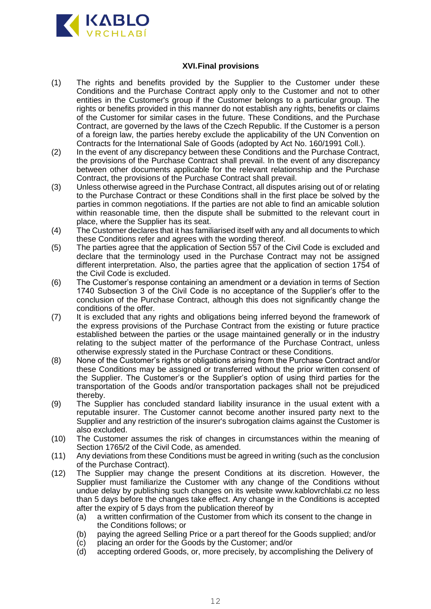

# **XVI.Final provisions**

- (1) The rights and benefits provided by the Supplier to the Customer under these Conditions and the Purchase Contract apply only to the Customer and not to other entities in the Customer's group if the Customer belongs to a particular group. The rights or benefits provided in this manner do not establish any rights, benefits or claims of the Customer for similar cases in the future. These Conditions, and the Purchase Contract, are governed by the laws of the Czech Republic. If the Customer is a person of a foreign law, the parties hereby exclude the applicability of the UN Convention on Contracts for the International Sale of Goods (adopted by Act No. 160/1991 Coll.).
- (2) In the event of any discrepancy between these Conditions and the Purchase Contract, the provisions of the Purchase Contract shall prevail. In the event of any discrepancy between other documents applicable for the relevant relationship and the Purchase Contract, the provisions of the Purchase Contract shall prevail.
- (3) Unless otherwise agreed in the Purchase Contract, all disputes arising out of or relating to the Purchase Contract or these Conditions shall in the first place be solved by the parties in common negotiations. If the parties are not able to find an amicable solution within reasonable time, then the dispute shall be submitted to the relevant court in place, where the Supplier has its seat.
- (4) The Customer declares that it has familiarised itself with any and all documents to which these Conditions refer and agrees with the wording thereof.
- (5) The parties agree that the application of Section 557 of the Civil Code is excluded and declare that the terminology used in the Purchase Contract may not be assigned different interpretation. Also, the parties agree that the application of section 1754 of the Civil Code is excluded.
- (6) The Customer's response containing an amendment or a deviation in terms of Section 1740 Subsection 3 of the Civil Code is no acceptance of the Supplier's offer to the conclusion of the Purchase Contract, although this does not significantly change the conditions of the offer.
- (7) It is excluded that any rights and obligations being inferred beyond the framework of the express provisions of the Purchase Contract from the existing or future practice established between the parties or the usage maintained generally or in the industry relating to the subject matter of the performance of the Purchase Contract, unless otherwise expressly stated in the Purchase Contract or these Conditions.
- (8) None of the Customer's rights or obligations arising from the Purchase Contract and/or these Conditions may be assigned or transferred without the prior written consent of the Supplier. The Customer's or the Supplier's option of using third parties for the transportation of the Goods and/or transportation packages shall not be prejudiced thereby.
- (9) The Supplier has concluded standard liability insurance in the usual extent with a reputable insurer. The Customer cannot become another insured party next to the Supplier and any restriction of the insurer's subrogation claims against the Customer is also excluded.
- (10) The Customer assumes the risk of changes in circumstances within the meaning of Section 1765/2 of the Civil Code, as amended.
- (11) Any deviations from these Conditions must be agreed in writing (such as the conclusion of the Purchase Contract).
- (12) The Supplier may change the present Conditions at its discretion. However, the Supplier must familiarize the Customer with any change of the Conditions without undue delay by publishing such changes on its website [www.kablovrchlabi.cz](http://www.kablovrchlabi.cz/) no less than 5 days before the changes take effect. Any change in the Conditions is accepted after the expiry of 5 days from the publication thereof by
	- (a) a written confirmation of the Customer from which its consent to the change in the Conditions follows; or
	- (b) paying the agreed Selling Price or a part thereof for the Goods supplied; and/or
	- (c) placing an order for the Goods by the Customer; and/or
	- (d) accepting ordered Goods, or, more precisely, by accomplishing the Delivery of